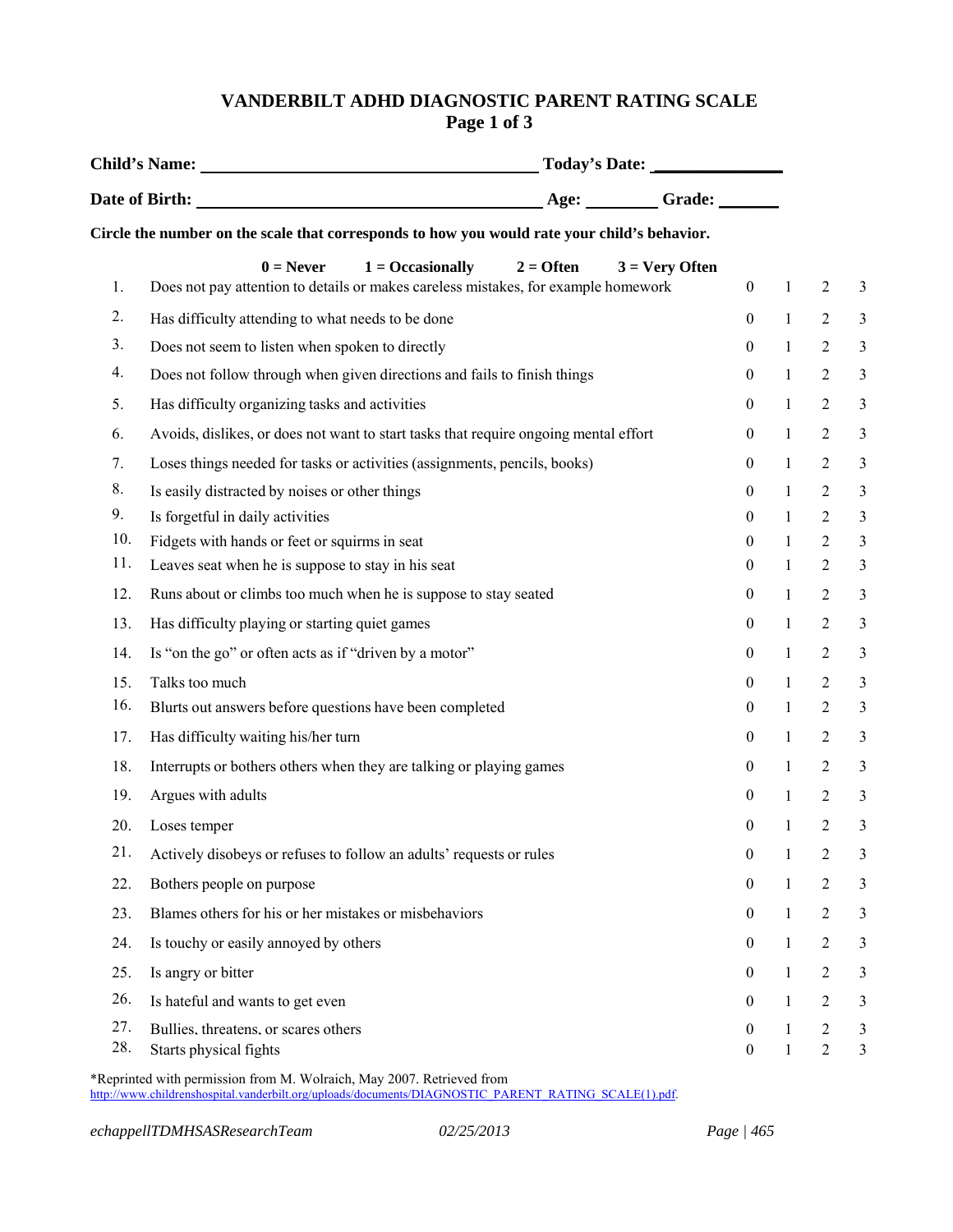## **VANDERBILT ADHD DIAGNOSTIC PARENT RATING SCALE Page 1 of 3**

|     | Circle the number on the scale that corresponds to how you would rate your child's behavior.                                                                      |                  |              |  |
|-----|-------------------------------------------------------------------------------------------------------------------------------------------------------------------|------------------|--------------|--|
| 1.  | $1 = Occasionally$<br>$2 =$ Often<br>$0 =$ Never<br>$3 = \text{Very Often}$<br>Does not pay attention to details or makes careless mistakes, for example homework | $\mathbf{0}$     | $\mathbf{1}$ |  |
| 2.  | Has difficulty attending to what needs to be done                                                                                                                 | $\theta$         | $\mathbf{1}$ |  |
| 3.  | Does not seem to listen when spoken to directly                                                                                                                   | $\mathbf{0}$     | $\mathbf{1}$ |  |
| 4.  | Does not follow through when given directions and fails to finish things                                                                                          | $\mathbf{0}$     | $\mathbf{1}$ |  |
| 5.  | Has difficulty organizing tasks and activities                                                                                                                    | $\mathbf{0}$     | $\mathbf{1}$ |  |
| 6.  | Avoids, dislikes, or does not want to start tasks that require ongoing mental effort                                                                              | $\mathbf{0}$     | $\mathbf{1}$ |  |
| 7.  | Loses things needed for tasks or activities (assignments, pencils, books)                                                                                         | $\boldsymbol{0}$ | $\mathbf{1}$ |  |
| 8.  | Is easily distracted by noises or other things                                                                                                                    | $\boldsymbol{0}$ | $\mathbf{1}$ |  |
| 9.  | Is forgetful in daily activities                                                                                                                                  | $\mathbf{0}$     | $\mathbf{1}$ |  |
| 10. | Fidgets with hands or feet or squirms in seat                                                                                                                     | $\theta$         | $\mathbf{1}$ |  |
| 11. | Leaves seat when he is suppose to stay in his seat                                                                                                                | $\mathbf{0}$     | $\mathbf{1}$ |  |
| 12. | Runs about or climbs too much when he is suppose to stay seated                                                                                                   | $\boldsymbol{0}$ | $\mathbf{1}$ |  |
| 13. | Has difficulty playing or starting quiet games                                                                                                                    | $\mathbf{0}$     | $\mathbf{1}$ |  |
| 14. | Is "on the go" or often acts as if "driven by a motor"                                                                                                            | $\boldsymbol{0}$ | $\mathbf{1}$ |  |
| 15. | Talks too much                                                                                                                                                    | $\mathbf{0}$     | $\mathbf{1}$ |  |
| 16. | Blurts out answers before questions have been completed                                                                                                           | $\boldsymbol{0}$ | $\mathbf{1}$ |  |
| 17. | Has difficulty waiting his/her turn                                                                                                                               | $\overline{0}$   | $\mathbf{1}$ |  |
| 18. | Interrupts or bothers others when they are talking or playing games                                                                                               | $\mathbf{0}$     | $\mathbf{1}$ |  |
| 19. | Argues with adults                                                                                                                                                | $\mathbf{0}$     | $\mathbf{1}$ |  |
| 20. | Loses temper                                                                                                                                                      | $\boldsymbol{0}$ | $\mathbf{1}$ |  |
| 21. | Actively disobeys or refuses to follow an adults' requests or rules                                                                                               | $\boldsymbol{0}$ | $\mathbf{1}$ |  |
| 22. | Bothers people on purpose                                                                                                                                         | $\theta$         | $\mathbf{1}$ |  |
| 23. | Blames others for his or her mistakes or misbehaviors                                                                                                             | $\mathbf{0}$     | 1            |  |
| 24. | Is touchy or easily annoyed by others                                                                                                                             | $\Omega$         | 1            |  |
| 25. | Is angry or bitter                                                                                                                                                | $\mathbf{0}$     | 1            |  |
| 26. | Is hateful and wants to get even                                                                                                                                  | $\mathbf{0}$     | 1            |  |
| 27. | Bullies, threatens, or scares others                                                                                                                              | $\theta$         | 1            |  |
| 28. | Starts physical fights                                                                                                                                            | 0                | $\mathbf{1}$ |  |

\*Reprinted with permission from M. Wolraich, May 2007. Retrieved from http://www.childrenshospital.vanderbilt.org/uploads/documents/DIAGNOSTIC\_PARENT\_RATING\_SCALE(1).pdf.